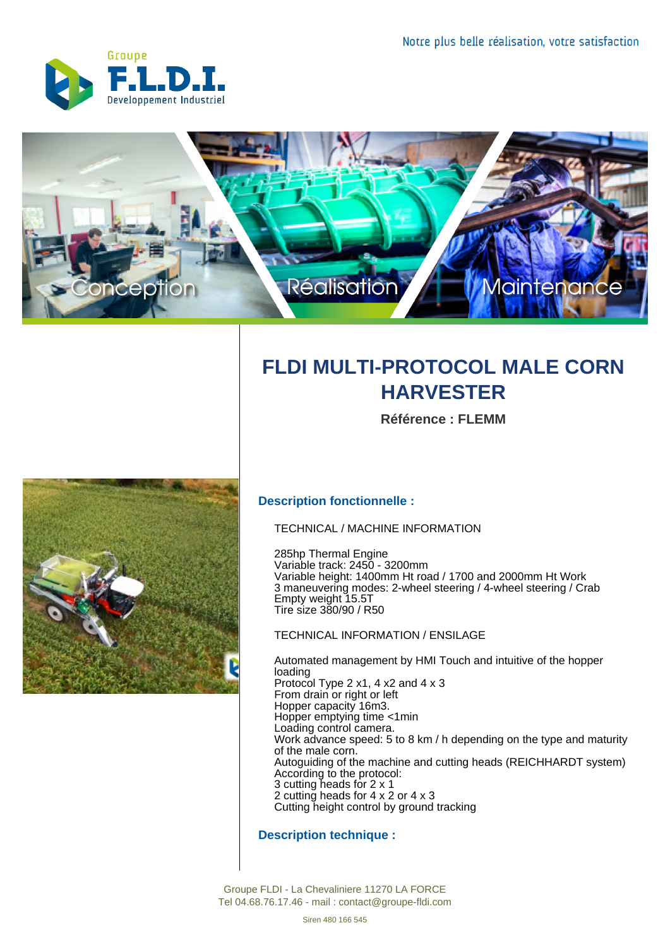



## **FLDI MULTI-PROTOCOL MALE CORN HARVESTER**

**Référence : FLEMM**



## **Description fonctionnelle :**

TECHNICAL / MACHINE INFORMATION

285hp Thermal Engine Variable track: 2450 - 3200mm Variable height: 1400mm Ht road / 1700 and 2000mm Ht Work 3 maneuvering modes: 2-wheel steering / 4-wheel steering / Crab Empty weight 15.5T Tire size 380/90 / R50

## TECHNICAL INFORMATION / ENSILAGE

Automated management by HMI Touch and intuitive of the hopper loading Protocol Type 2 x1, 4 x2 and 4 x 3 From drain or right or left Hopper capacity 16m3. Hopper emptying time <1min Loading control camera. Work advance speed: 5 to 8 km / h depending on the type and maturity of the male corn. Autoguiding of the machine and cutting heads (REICHHARDT system) According to the protocol: 3 cutting heads for 2 x 1 2 cutting heads for 4 x 2 or 4 x 3 Cutting height control by ground tracking

## **Description technique :**

Groupe FLDI - La Chevaliniere 11270 LA FORCE Tel 04.68.76.17.46 - mail : contact@groupe-fldi.com